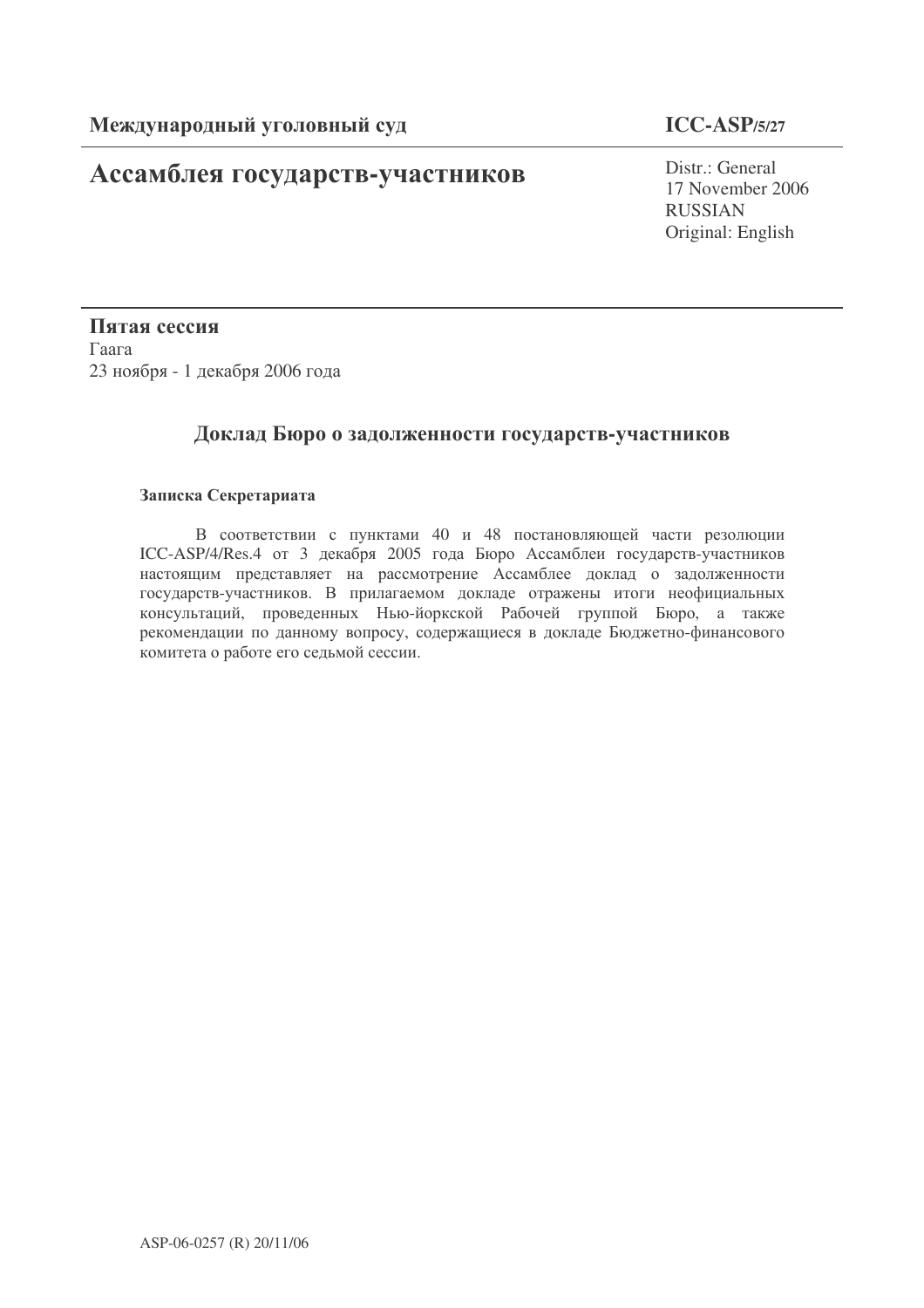# Ассамблея государств-участников

## **ICC-ASP/5/27**

Distr.: General 17 November 2006 RUSSIAN Original: English

Пятая сессия  $\Gamma$ аага 23 ноября - 1 декабря 2006 года

### Доклад Бюро о задолженности государств-участников

#### Записка Секретариата

В соответствии с пунктами 40 и 48 постановляющей части резолюции ICC-ASP/4/Res.4 от 3 декабря 2005 года Бюро Ассамблеи государств-участников настоящим представляет на рассмотрение Ассамблее доклад о задолженности государств-участников. В прилагаемом докладе отражены итоги неофициальных консультаций, проведенных Нью-йоркской Рабочей группой Бюро, а также рекомендации по данному вопросу, содержащиеся в докладе Бюджетно-финансового комитета о работе его седьмой сессии.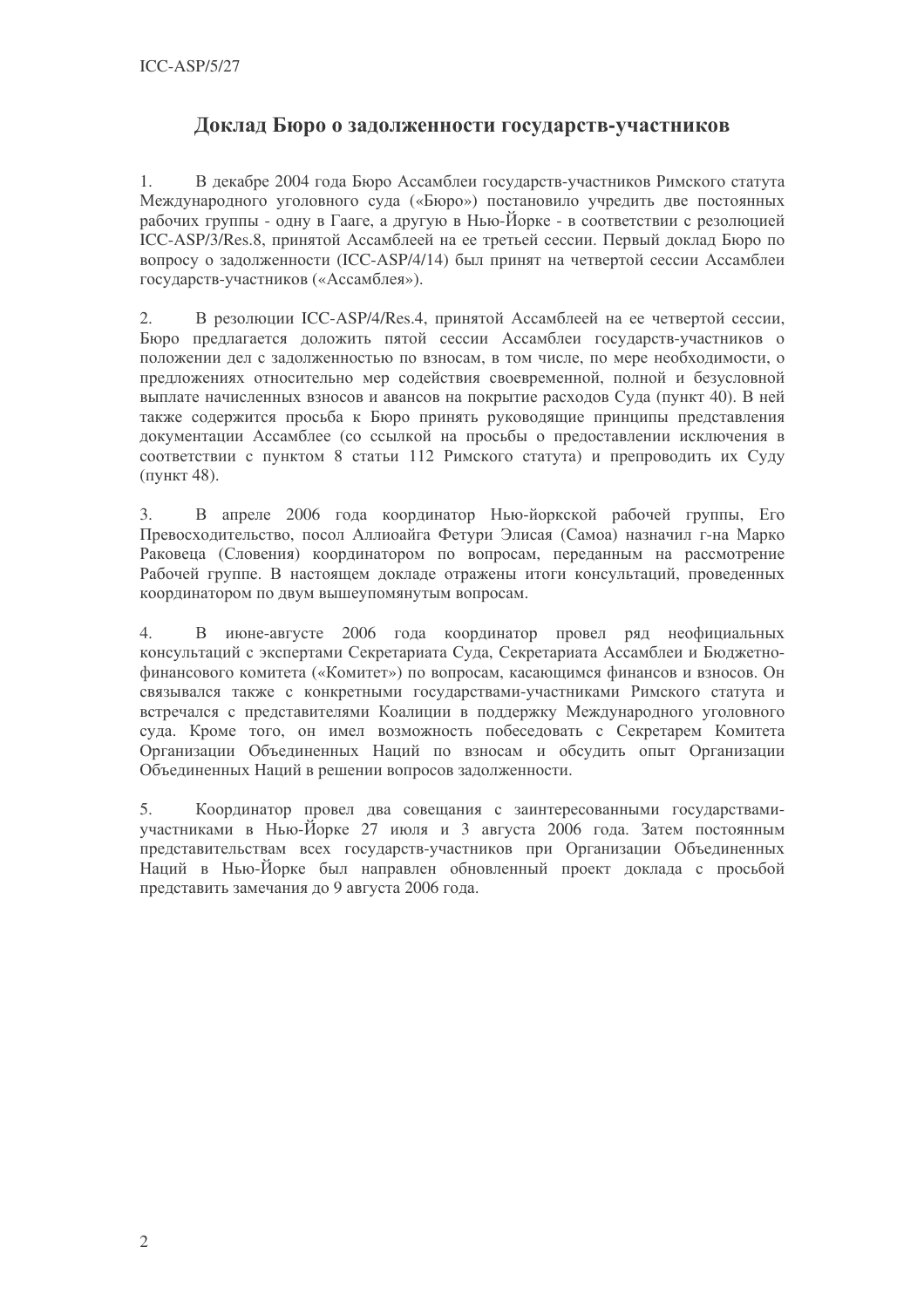### Доклад Бюро о задолженности государств-участников

 $1<sup>1</sup>$ В декабре 2004 года Бюро Ассамблеи государств-участников Римского статута Международного уголовного суда («Бюро») постановило учредить две постоянных рабочих группы - одну в Гааге, а другую в Нью-Йорке - в соответствии с резолюцией ICC-ASP/3/Res.8, принятой Ассамблеей на ее третьей сессии. Первый доклад Бюро по вопросу о задолженности (ICC-ASP/4/14) был принят на четвертой сессии Ассамблеи государств-участников («Ассамблея»).

В резолюции ICC-ASP/4/Res.4, принятой Ассамблеей на ее четвертой сессии,  $2.$ Бюро предлагается доложить пятой сессии Ассамблеи государств-участников о положении дел с задолженностью по взносам, в том числе, по мере необходимости, о предложениях относительно мер содействия своевременной, полной и безусловной выплате начисленных взносов и авансов на покрытие расходов Суда (пункт 40). В ней также содержится просьба к Бюро принять руководящие принципы представления локументации Ассамблее (со ссылкой на просьбы о предоставлении исключения в соответствии с пунктом 8 статьи 112 Римского статута) и препроводить их Суду (пункт 48).

 $\overline{3}$ . В апреле 2006 года координатор Нью-йоркской рабочей группы, Его Превосходительство, посол Аллиоайга Фетури Элисая (Самоа) назначил г-на Марко Раковеца (Словения) координатором по вопросам, переданным на рассмотрение Рабочей группе. В настоящем докладе отражены итоги консультаций, проведенных координатором по двум вышеупомянутым вопросам.

 $\overline{4}$ . В июне-августе 2006 года координатор провел ряд неофициальных консультаций с экспертами Секретариата Суда, Секретариата Ассамблеи и Бюджетнофинансового комитета («Комитет») по вопросам, касающимся финансов и взносов. Он связывался также с конкретными государствами-участниками Римского статута и встречался с представителями Коалиции в поддержку Международного уголовного суда. Кроме того, он имел возможность побеседовать с Секретарем Комитета Организации Объединенных Наций по взносам и обсудить опыт Организации Объединенных Наций в решении вопросов задолженности.

 $5<sub>1</sub>$ Координатор провел два совещания с заинтересованными государствамиучастниками в Нью-Йорке 27 июля и 3 августа 2006 года. Затем постоянным представительствам всех государств-участников при Организации Объединенных Наций в Нью-Йорке был направлен обновленный проект доклада с просьбой представить замечания до 9 августа 2006 года.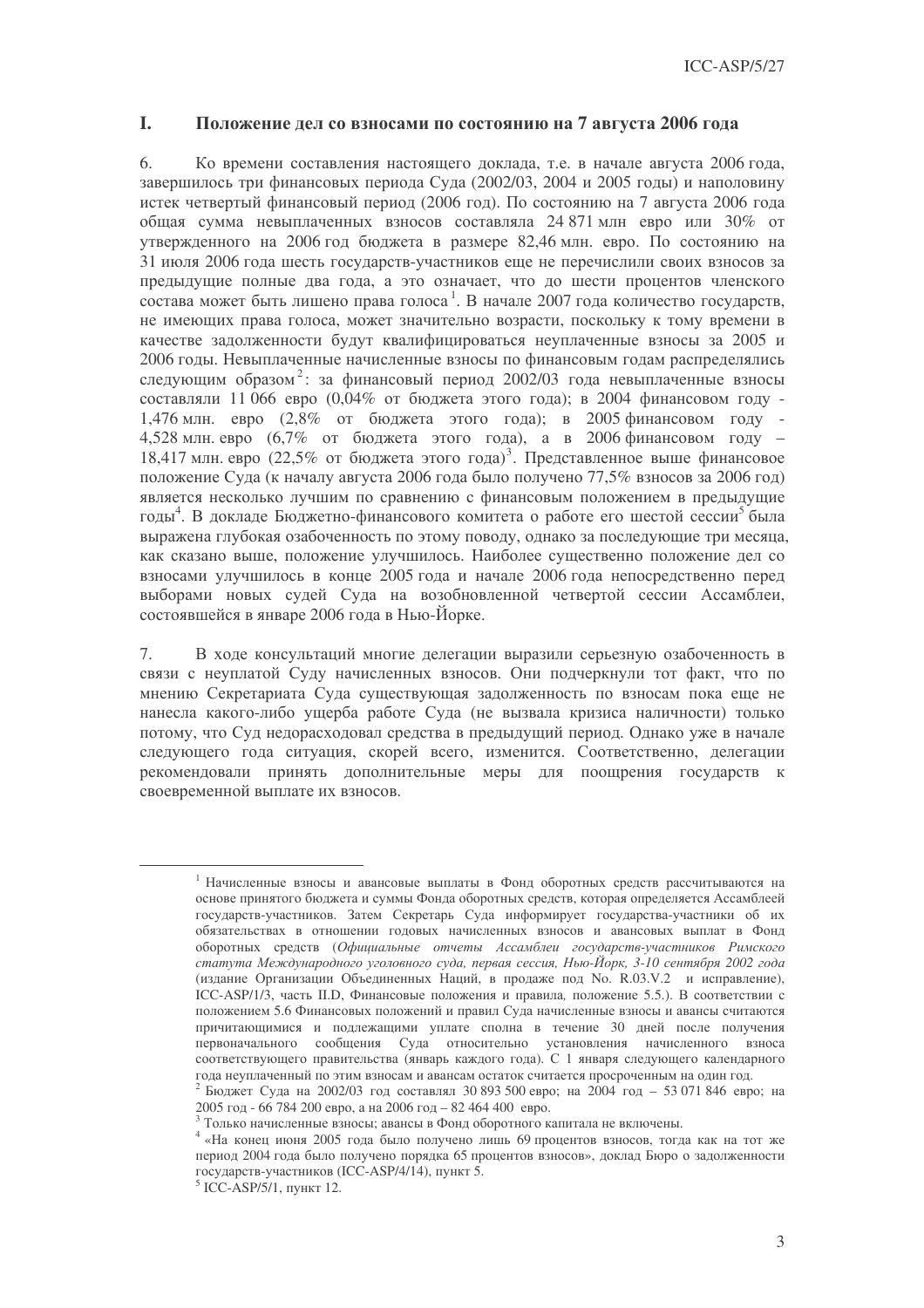#### **I. В Положение дел со взносами по состоянию на 7 августа 2006 года**

6. Ко времени составления настоящего доклада, т.е. в начале августа 2006 года, завершилось три финансовых периода Суда (2002/03, 2004 и 2005 годы) и наполовину истек четвертый финансовый период (2006 год). По состоянию на 7 августа 2006 года общая сумма невыплаченных взносов составляла 24 871 млн евро или 30% от утвержденного на 2006 год бюджета в размере 82,46 млн. евро. По состоянию на 31 июля 2006 года шесть государств-участников еще не перечислили своих взносов за предыдущие полные два года, а это означает, что до шести процентов членского состава может быть лишено права голоса<sup>1</sup>. В начале 2007 года количество государств, не имеющих права голоса, может значительно возрасти, поскольку к тому времени в качестве задолженности будут квалифицироваться неуплаченные взносы за 2005 и 2006 годы. Невыплаченные начисленные взносы по финансовым годам распределялись следующим образом<sup>2</sup>: за финансовый период 2002/03 года невыплаченные взносы составляли 11 066 евро (0,04% от бюджета этого года); в 2004 финансовом году -1,476 млн. евро (2,8% от бюджета этого года); в 2005 финансовом году -4,528 млн. евро  $(6.7\%$  от бюджета этого года), а в 2006 финансовом году – 18,417 млн. евро (22,5% от бюджета этого года)<sup>3</sup>. Представленное выше финансовое положение Суда (к началу августа 2006 года было получено 77,5% взносов за 2006 год) является несколько лучшим по сравнению с финансовым положением в предыдущие годы<sup>4</sup>. В докладе Бюджетно-финансового комитета о работе его шестой сессии<sup>5</sup> была выражена глубокая озабоченность по этому поводу, однако за последующие три месяца, как сказано выше, положение улучшилось. Наиболее существенно положение дел со взносами улучшилось в конце 2005 года и начале 2006 года непосредственно перед выборами новых судей Суда на возобновленной четвертой сессии Ассамблеи, состоявшейся в январе 2006 года в Нью-Йорке.

7. В ходе консультаций многие делегации выразили серьезную озабоченность в связи с неуплатой Суду начисленных взносов. Они подчеркнули тот факт, что по мнению Секретариата Суда существующая задолженность по взносам пока еще не нанесла какого-либо ущерба работе Суда (не вызвала кризиса наличности) только потому, что Суд недорасходовал средства в предыдущий период. Однако уже в начале следующего года ситуация, скорей всего, изменится. Соответственно, делегации рекомендовали принять дополнительные меры для поощрения государств к своевременной выплате их взносов.

<sup>&</sup>lt;sup>1</sup> Начисленные взносы и авансовые выплаты в Фонд оборотных средств рассчитываются на основе принятого бюджета и суммы Фонда оборотных средств, которая определяется Ассамблеей государств-участников. Затем Секретарь Суда информирует государства-участники об их обязательствах в отношении годовых начисленных взносов и авансовых выплат в Фонд оборотных средств (Официальные отчеты Ассамблеи государств-участников Римского статута Международного уголовного суда, первая сессия, Нью-Йорк, 3-10 сентября 2002 года (издание Организации Объединенных Наций, в продаже под No. R.03.V.2 и исправление), ICC-ASP/1/3, часть II.D, Финансовые положения и правила, положение 5.5.). В соответствии с положением 5.6 Финансовых положений и правил Суда начисленные взносы и авансы считаются причитающимися и подлежащими уплате сполна в течение 30 дней после получения первоначального сообщения Суда относительно установления начисленного взноса соответствующего правительства (январь каждого года). С 1 января следующего календарного года неуплаченный по этим взносам и авансам остаток считается просроченным на один год.

<sup>&</sup>lt;sup>2</sup> Бюджет Суда на 2002/03 год составлял 30 893 500 евро; на 2004 год - 53 071 846 евро; на 2005 год - 66 784 200 евро, а на 2006 год - 82 464 400 евро.

<sup>&</sup>lt;sup>3</sup> Только начисленные взносы; авансы в Фонд оборотного капитала не включены.

 $4$  «На конец июня 2005 года было получено лишь 69 процентов взносов, тогда как на тот же период 2004 года было получено порядка 65 процентов взносов», доклад Бюро о задолженности государств-участников (ICC-ASP/4/14), пункт 5.

 $5$  ICC-ASP/ $5/1$ , пункт 12.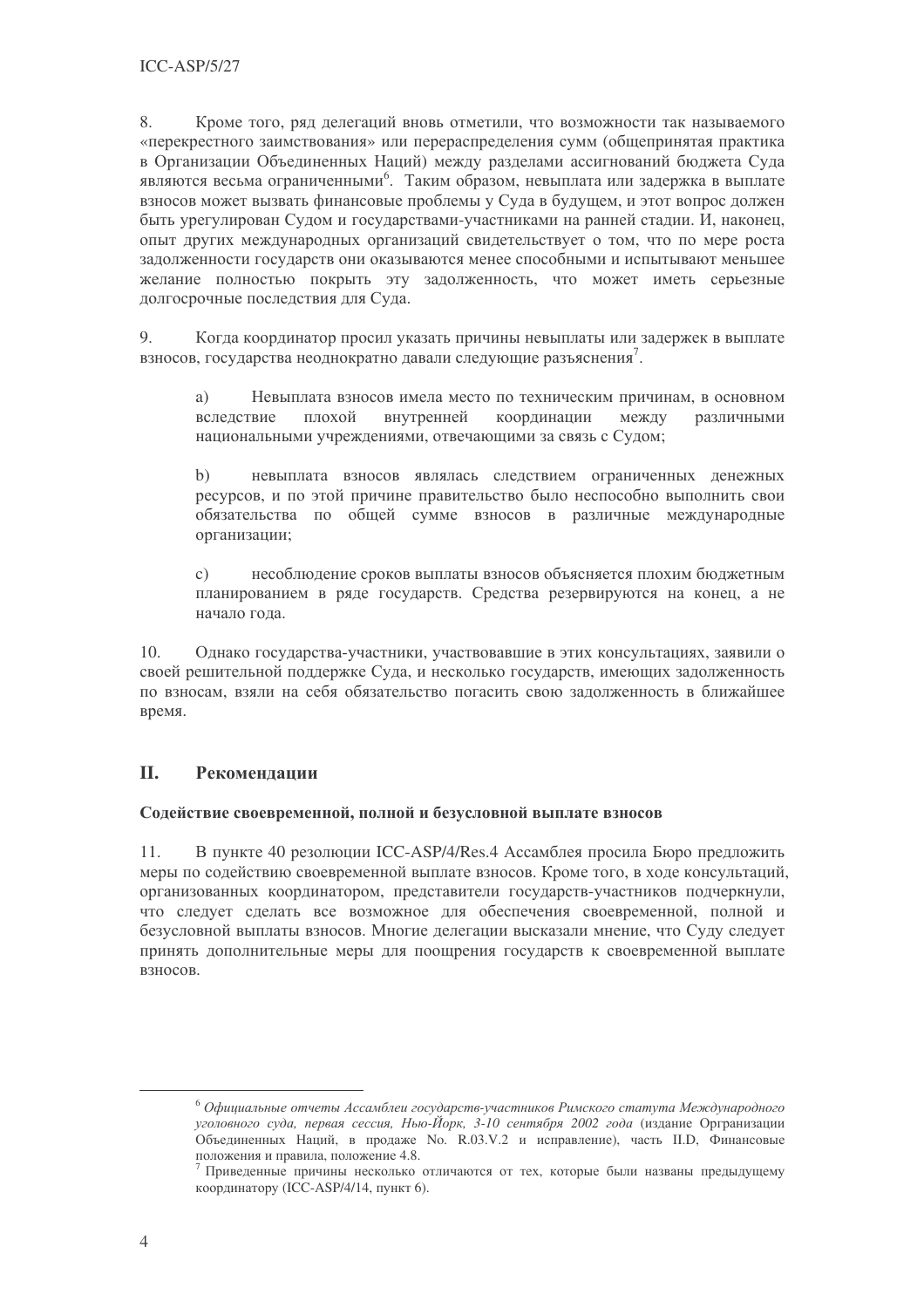8. Кроме того, ряд делегаций вновь отметили, что возможности так называемого «перекрестного заимствования» или перераспределения сумм (общепринятая практика в Организации Объединенных Наций) между разделами ассигнований бюджета Суда являются весьма ограниченными<sup>6</sup>. Таким образом, невыплата или задержка в выплате взносов может вызвать финансовые проблемы у Суда в будущем, и этот вопрос должен быть урегулирован Судом и государствами-участниками на ранней стадии. И, наконец, опыт других международных организаций свидетельствует о том, что по мере роста задолженности государств они оказываются менее способными и испытывают меньшее желание полностью покрыть эту задолженность, что может иметь серьезные долгосрочные последствия для Суда.

9. Когда координатор просил указать причины невыплаты или задержек в выплате взносов, государства неоднократно давали следующие разъяснения.

a) Невыплата взносов имела место по техническим причинам, в основном вследствие плохой внутренней координации между различными национальными учреждениями, отвечающими за связь с Судом;

невыплата взносов являлась следствием ограниченных денежных  $b)$ ресурсов, и по этой причине правительство было неспособно выполнить свои обязательства по общей сумме взносов в различные международные организации;

несоблюдение сроков выплаты взносов объясняется плохим бюджетным  $\mathcal{C}$ ) планированием в ряде государств. Средства резервируются на конец, а не начало года.

10. Однако государства-участники, участвовавшие в этих консультациях, заявили о своей решительной поддержке Суда, и несколько государств, имеющих задолженность по взносам, взяли на себя обязательство погасить свою задолженность в ближайшее время.

#### **II.** Рекомендации

#### Содействие своевременной, полной и безусловной выплате взносов

 $11.$ В пункте 40 резолюции ICC-ASP/4/Res.4 Ассамблея просила Бюро предложить меры по содействию своевременной выплате взносов. Кроме того, в ходе консультаций, организованных координатором, представители государств-участников подчеркнули, что следует сделать все возможное для обеспечения своевременной, полной и безусловной выплаты взносов. Многие делегации высказали мнение, что Суду следует принять дополнительные меры для поощрения государств к своевременной выплате B3HOCOB.

<sup>&</sup>lt;sup>6</sup> Официальные отчеты Ассамблеи государств-участников Римского статута Международного уголовного суда, первая сессия, Нью-Йорк, 3-10 сентября 2002 года (издание Оргранизации Объелиненных Наций, в продаже No. R.03.V.2 и исправление), часть II.D. Финансовые положения и правила, положение 4.8.

 $\frac{7}{7}$  Приведенные причины несколько отличаются от тех, которые были названы предыдущему координатору (ICC-ASP/4/14, пункт 6).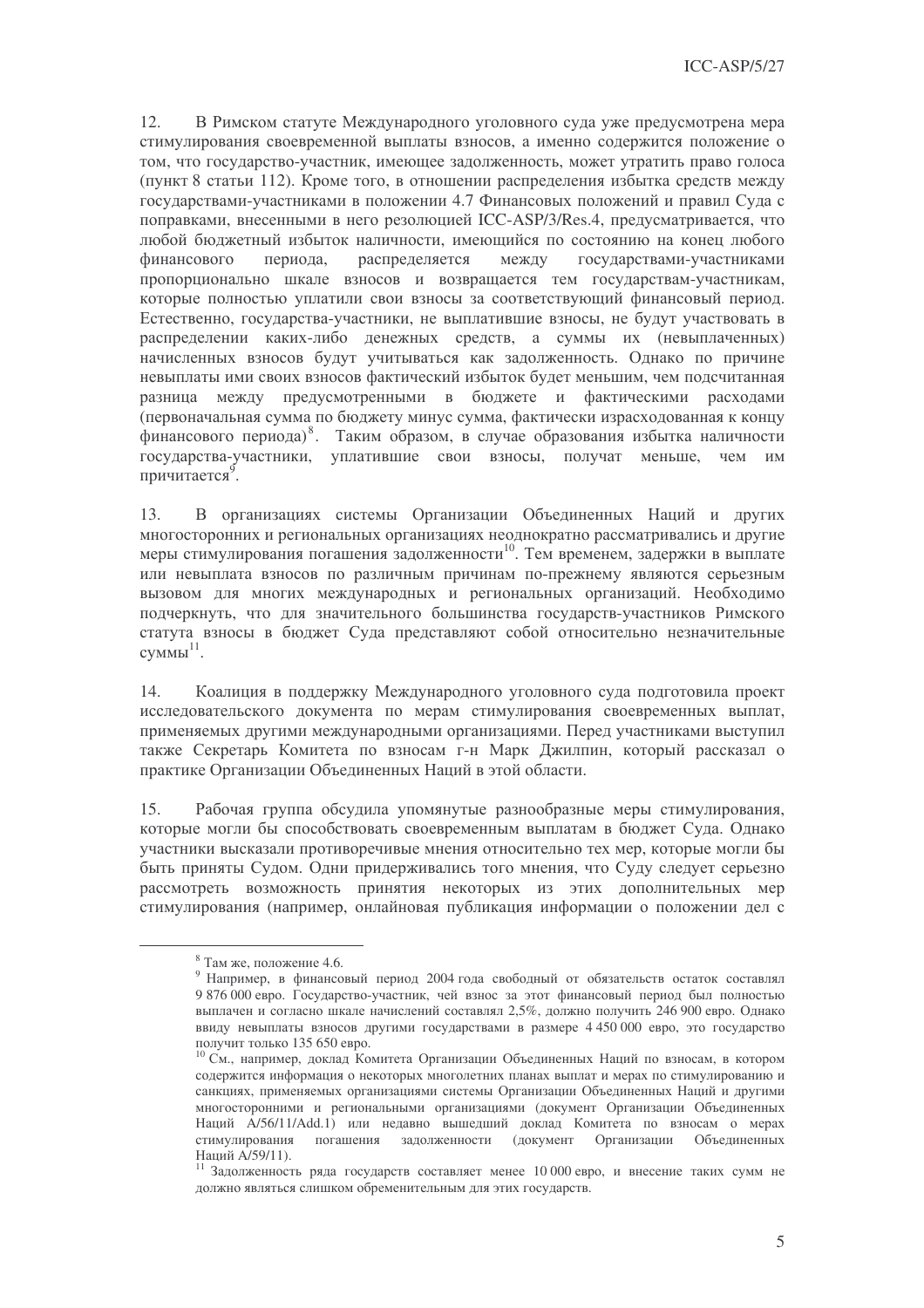12. В Римском статуте Международного уголовного суда уже предусмотрена мера стимулирования своевременной выплаты взносов, а именно содержится положение о том, что государство-участник, имеющее задолженность, может утратить право голоса (пункт 8 статьи 112). Кроме того, в отношении распределения избытка средств между госуларствами-участниками в положении 4.7 Финансовых положений и правил Сула с поправками, внесенными в него резолюцией ICC-ASP/3/Res.4, предусматривается, что любой бюджетный избыток наличности, имеющийся по состоянию на конец любого финансового периода, распределяется между государствами-участниками пропорционально шкале взносов и возвращается тем государствам-участникам, которые полностью уплатили свои взносы за соответствующий финансовый период. Естественно, государства-участники, не выплатившие взносы, не будут участвовать в распределении каких-либо денежных средств, а суммы их (невыплаченных) начисленных взносов будут учитываться как задолженность. Однако по причине невыплаты ими своих взносов фактический избыток будет меньшим, чем подсчитанная разница между предусмотренными в бюджете и фактическими расходами (первоначальная сумма по бюджету минус сумма, фактически израсходованная к концу финансового периода)<sup>8</sup>. Таким образом, в случае образования избытка наличности государства-участники, уплатившие свои взносы, получат меньше, чем им причитается<sup>9</sup>.

В организациях системы Организации Объединенных Наций и других 13. многосторонних и региональных организациях неоднократно рассматривались и другие меры стимулирования погашения залолженности<sup>10</sup>. Тем временем, залержки в выплате или невыплата взносов по различным причинам по-прежнему являются серьезным вызовом для многих международных и региональных организаций. Необходимо подчеркнуть, что для значительного большинства государств-участников Римского статута взносы в бюджет Суда представляют собой относительно незначительные  $CVMMbl<sup>11</sup>$ .

 $14.$ Коалиция в поддержку Международного уголовного суда подготовила проект исследовательского документа по мерам стимулирования своевременных выплат, применяемых другими международными организациями. Перед участниками выступил также Секретарь Комитета по взносам г-н Марк Джилпин, который рассказал о практике Организации Объединенных Наций в этой области.

15. Рабочая группа обсудила упомянутые разнообразные меры стимулирования, которые могли бы способствовать своевременным выплатам в бюджет Суда. Однако участники высказали противоречивые мнения относительно тех мер, которые могли бы быть приняты Судом. Одни придерживались того мнения, что Суду следует серьезно рассмотреть возможность принятия некоторых из этих дополнительных мер стимулирования (например, онлайновая публикация информации о положении дел с

 $8$  Там же, положение 4.6.

<sup>9</sup> Например, в финансовый период 2004 года свободный от обязательств остаток составлял 9 876 000 евро. Государство-участник, чей взнос за этот финансовый период был полностью выплачен и согласно шкале начислений составлял 2,5%, должно получить 246 900 евро. Однако ввиду невыплаты взносов другими государствами в размере 4 450 000 евро, это государство получит только 135 650 евро.

<sup>&</sup>lt;sup>10</sup> См., например, доклад Комитета Организации Объединенных Наций по взносам, в котором содержится информация о некоторых многолетних планах выплат и мерах по стимулированию и санкциях, применяемых организациями системы Организации Объединенных Наций и другими многосторонними и региональными организациями (документ Организации Объединенных Наций A/56/11/Add.1) или недавно вышедший доклад Комитета по взносам о мерах стимулирования погашения залолженности (локумент Организации Объединенных Наций А/59/11).

 $11$  Задолженность ряда государств составляет менее 10 000 евро, и внесение таких сумм не должно являться слишком обременительным для этих государств.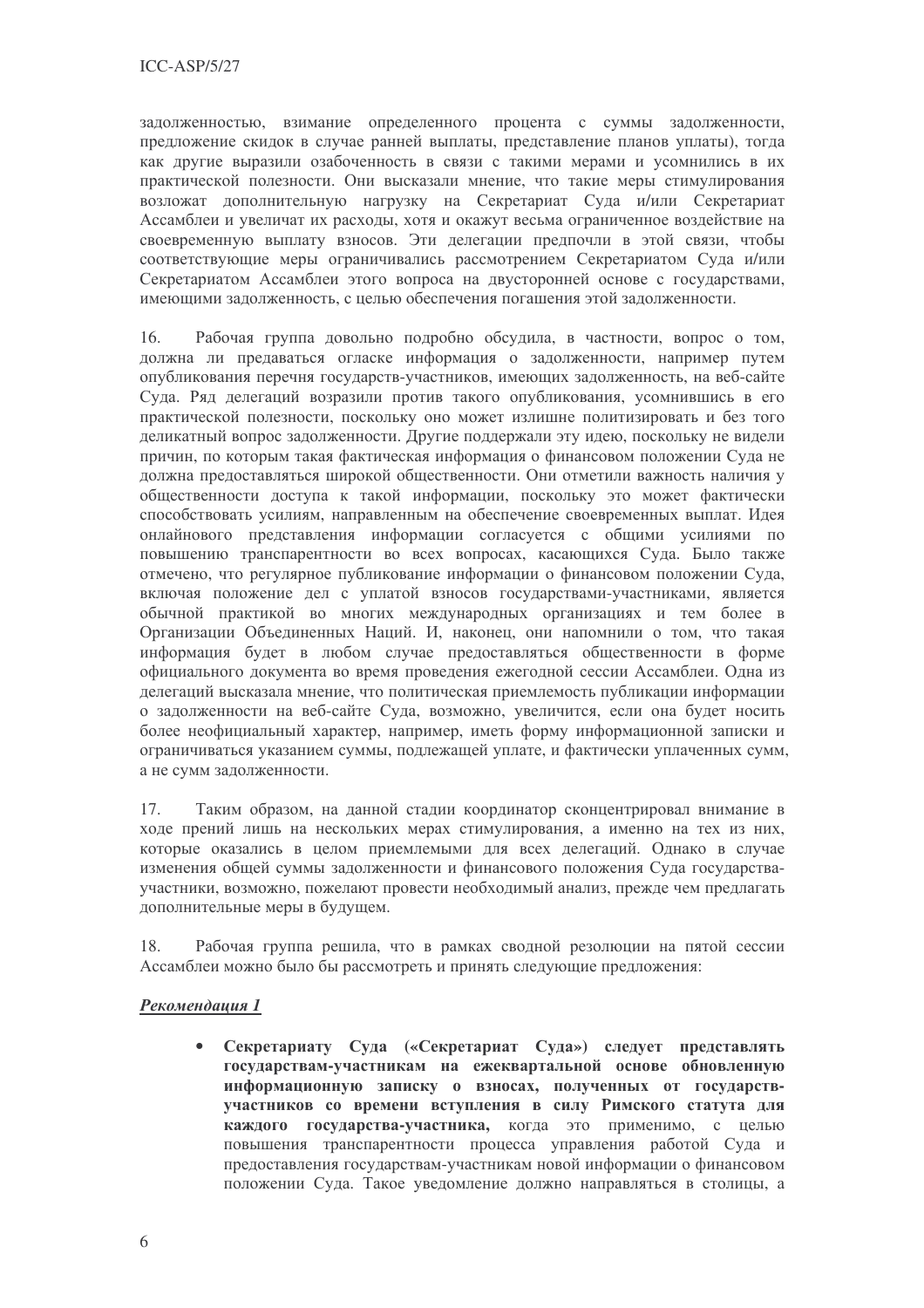задолженностью, взимание определенного процента с суммы задолженности, предложение скидок в случае ранней выплаты, представление планов уплаты), тогда как другие выразили озабоченность в связи с такими мерами и усомнились в их практической полезности. Они высказали мнение, что такие меры стимулирования возложат дополнительную нагрузку на Секретариат Суда и/или Секретариат Ассамблеи и увеличат их расходы, хотя и окажут весьма ограниченное воздействие на своевременную выплату взносов. Эти делегации предпочли в этой связи, чтобы соответствующие меры ограничивались рассмотрением Секретариатом Суда и/или Секретариатом Ассамблеи этого вопроса на двусторонней основе с государствами, имеющими задолженность, с целью обеспечения погашения этой задолженности.

Рабочая группа довольно подробно обсудила, в частности, вопрос о том,  $16.$ должна ли предаваться огласке информация о задолженности, например путем опубликования перечня государств-участников, имеющих задолженность, на веб-сайте Суда. Ряд делегаций возразили против такого опубликования, усомнившись в его практической полезности, поскольку оно может излишне политизировать и без того деликатный вопрос задолженности. Другие поддержали эту идею, поскольку не видели причин, по которым такая фактическая информация о финансовом положении Суда не должна предоставляться широкой общественности. Они отметили важность наличия у общественности доступа к такой информации, поскольку это может фактически способствовать усилиям, направленным на обеспечение своевременных выплат. Идея онлайнового представления информации согласуется с общими усилиями по повышению транспарентности во всех вопросах, касающихся Сула. Было также отмечено, что регулярное публикование информации о финансовом положении Суда, включая положение дел с уплатой взносов государствами-участниками, является обычной практикой во многих международных организациях и тем более в Организации Объединенных Наций. И, наконец, они напомнили о том, что такая информация будет в любом случае предоставляться общественности в форме официального документа во время проведения ежегодной сессии Ассамблеи. Одна из делегаций высказала мнение, что политическая приемлемость публикации информации о задолженности на веб-сайте Суда, возможно, увеличится, если она будет носить более неофициальный характер, например, иметь форму информационной записки и ограничиваться указанием суммы, подлежащей уплате, и фактически уплаченных сумм, а не сумм задолженности.

17. Таким образом, на данной стадии координатор сконцентрировал внимание в ходе прений лишь на нескольких мерах стимулирования, а именно на тех из них, которые оказались в целом приемлемыми для всех делегаций. Однако в случае изменения общей суммы задолженности и финансового положения Суда государстваучастники, возможно, пожелают провести необходимый анализ, прежде чем предлагать дополнительные меры в будущем.

Рабочая группа решила, что в рамках сводной резолюции на пятой сессии 18. Ассамблеи можно было бы рассмотреть и принять следующие предложения:

#### Рекомендация 1

Секретариату Суда («Секретариат Суда») следует представлять государствам-участникам на ежеквартальной основе обновленную информационную записку о взносах, полученных от государствучастников со времени вступления в силу Римского статута для каждого государства-участника, когда это применимо, с целью повышения транспарентности процесса управления работой Суда и предоставления государствам-участникам новой информации о финансовом положении Суда. Такое уведомление должно направляться в столицы, а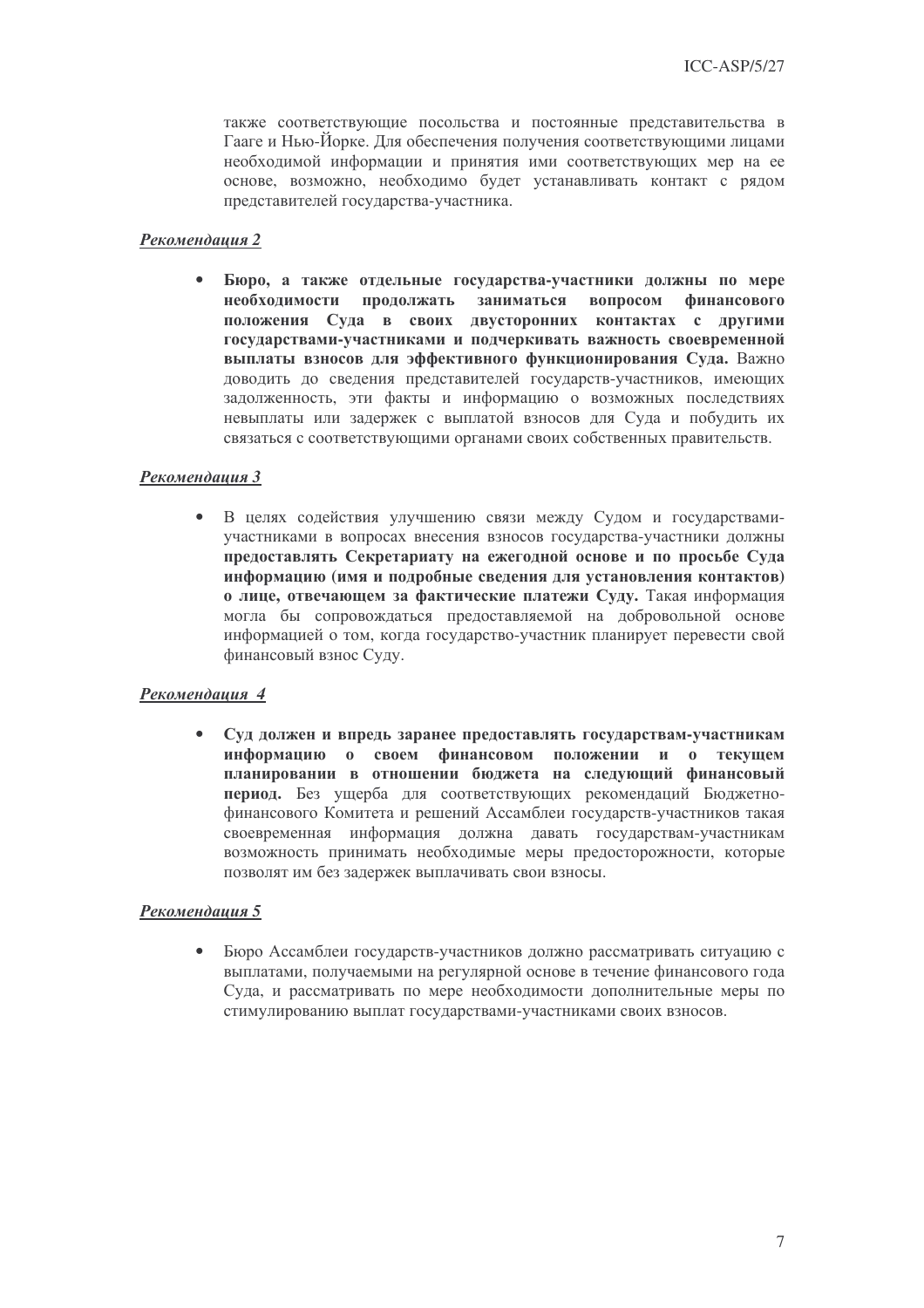также соответствующие посольства и постоянные представительства в Гааге и Нью-Йорке. Для обеспечения получения соответствующими лицами необходимой информации и принятия ими соответствующих мер на ее основе, возможно, необходимо будет устанавливать контакт с рядом прелставителей госуларства-участника.

#### Рекомендация 2

Бюро, а также отдельные государства-участники должны по мере  $\bullet$ необходимости продолжать заниматься вопросом финансового положения Суда в своих двусторонних контактах с другими государствами-участниками и подчеркивать важность своевременной выплаты взносов для эффективного функционирования Суда. Важно доводить до сведения представителей государств-участников, имеющих задолженность, эти факты и информацию о возможных последствиях невыплаты или залержек с выплатой взносов для Суда и побудить их связаться с соответствующими органами своих собственных правительств.

#### Рекомендация 3

 $\bullet$ В целях содействия улучшению связи между Судом и государствамиучастниками в вопросах внесения взносов государства-участники должны предоставлять Секретариату на ежегодной основе и по просьбе Суда информацию (имя и подробные сведения для установления контактов) о лице, отвечающем за фактические платежи Суду. Такая информация могла бы сопровождаться предоставляемой на добровольной основе информацией о том, когда государство-участник планирует перевести свой финансовый взнос Суду.

#### Рекомендация 4

Суд должен и впредь заранее предоставлять государствам-участникам  $\bullet$ информацию о своем финансовом положении и о текущем планировании в отношении бюджета на следующий финансовый период. Без ущерба для соответствующих рекомендаций Бюджетнофинансового Комитета и решений Ассамблеи государств-участников такая своевременная информация должна давать государствам-участникам возможность принимать необходимые меры предосторожности, которые позволят им без задержек выплачивать свои взносы.

#### Рекомендация 5

Бюро Ассамблеи государств-участников должно рассматривать ситуацию с  $\bullet$ выплатами, получаемыми на регулярной основе в течение финансового года Суда, и рассматривать по мере необходимости дополнительные меры по стимулированию выплат государствами-участниками своих взносов.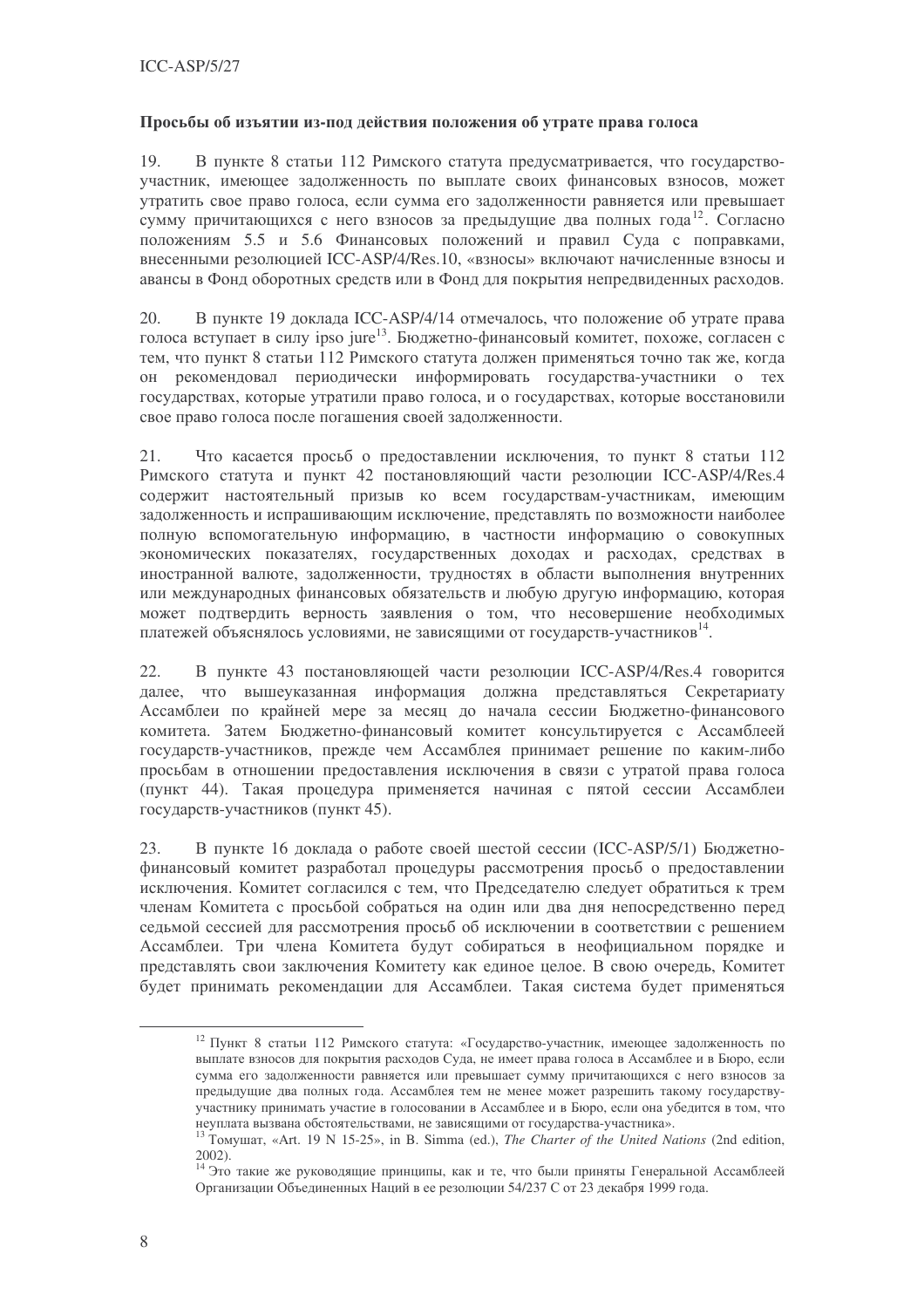#### Просьбы об изъятии из-под действия положения об утрате права голоса

В пункте 8 статьи 112 Римского статута предусматривается, что государство-19. участник, имеющее задолженность по выплате своих финансовых взносов, может утратить свое право голоса, если сумма его задолженности равняется или превышает сумму причитающихся с него взносов за предыдущие два полных года<sup>12</sup>. Согласно положениям 5.5 и 5.6 Финансовых положений и правил Суда с поправками, внесенными резолюцией ICC-ASP/4/Res.10, «взносы» включают начисленные взносы и авансы в Фонд оборотных средств или в Фонд для покрытия непредвиденных расходов.

В пункте 19 локлала ICC-ASP/4/14 отмечалось, что положение об утрате права 20. голоса вступает в силу ipso jure<sup>13</sup>. Бюджетно-финансовый комитет, похоже, согласен с тем, что пункт 8 статьи 112 Римского статута должен применяться точно так же, когда он рекомендовал периодически информировать государства-участники о тех государствах, которые утратили право голоса, и о государствах, которые восстановили свое право голоса после погашения своей задолженности.

21. Что касается просьб о предоставлении исключения, то пункт 8 статьи 112 Римского статута и пункт 42 постановляющий части резолюции ICC-ASP/4/Res.4 содержит настоятельный призыв ко всем государствам-участникам, имеющим задолженность и испрашивающим исключение, представлять по возможности наиболее полную вспомогательную информацию, в частности информацию о совокупных экономических показателях, государственных доходах и расходах, средствах в иностранной валюте, задолженности, трудностях в области выполнения внутренних или международных финансовых обязательств и любую другую информацию, которая может подтвердить верность заявления о том, что несовершение необходимых платежей объяснялось условиями, не зависящими от государств-участников<sup>14</sup>.

В пункте 43 постановляющей части резолюции ICC-ASP/4/Res.4 говорится 22. далее, что вышеуказанная информация должна представляться Секретариату Ассамблеи по крайней мере за месяц до начала сессии Бюджетно-финансового комитета. Затем Бюджетно-финансовый комитет консультируется с Ассамблеей государств-участников, прежде чем Ассамблея принимает решение по каким-либо просьбам в отношении предоставления исключения в связи с утратой права голоса (пункт 44). Такая процедура применяется начиная с пятой сессии Ассамблеи государств-участников (пункт 45).

В пункте 16 доклада о работе своей шестой сессии (ICC-ASP/5/1) Бюджетно-23. финансовый комитет разработал процедуры рассмотрения просьб о предоставлении исключения. Комитет согласился с тем, что Председателю следует обратиться к трем членам Комитета с просьбой собраться на один или два дня непосредственно перед седьмой сессией для рассмотрения просьб об исключении в соответствии с решением Ассамблеи. Три члена Комитета будут собираться в неофициальном порядке и представлять свои заключения Комитету как единое целое. В свою очередь, Комитет будет принимать рекомендации для Ассамблеи. Такая система будет применяться

<sup>&</sup>lt;sup>12</sup> Пункт 8 статьи 112 Римского статута: «Государство-участник, имеющее задолженность по выплате взносов для покрытия расходов Суда, не имеет права голоса в Ассамблее и в Бюро, если сумма его задолженности равняется или превышает сумму причитающихся с него взносов за предыдущие два полных года. Ассамблея тем не менее может разрешить такому государствуучастнику принимать участие в голосовании в Ассамблее и в Бюро, если она убедится в том, что неуплата вызвана обстоятельствами, не зависящими от государства-участника».

<sup>&</sup>lt;sup>13</sup> TOMVILLAT, «Art. 19 N 15-25», in B. Simma (ed.), *The Charter of the United Nations* (2nd edition,  $2002$ ).

<sup>14</sup> Это такие же руководящие принципы, как и те, что были приняты Генеральной Ассамблеей Организации Объединенных Наций в ее резолюции 54/237 С от 23 декабря 1999 года.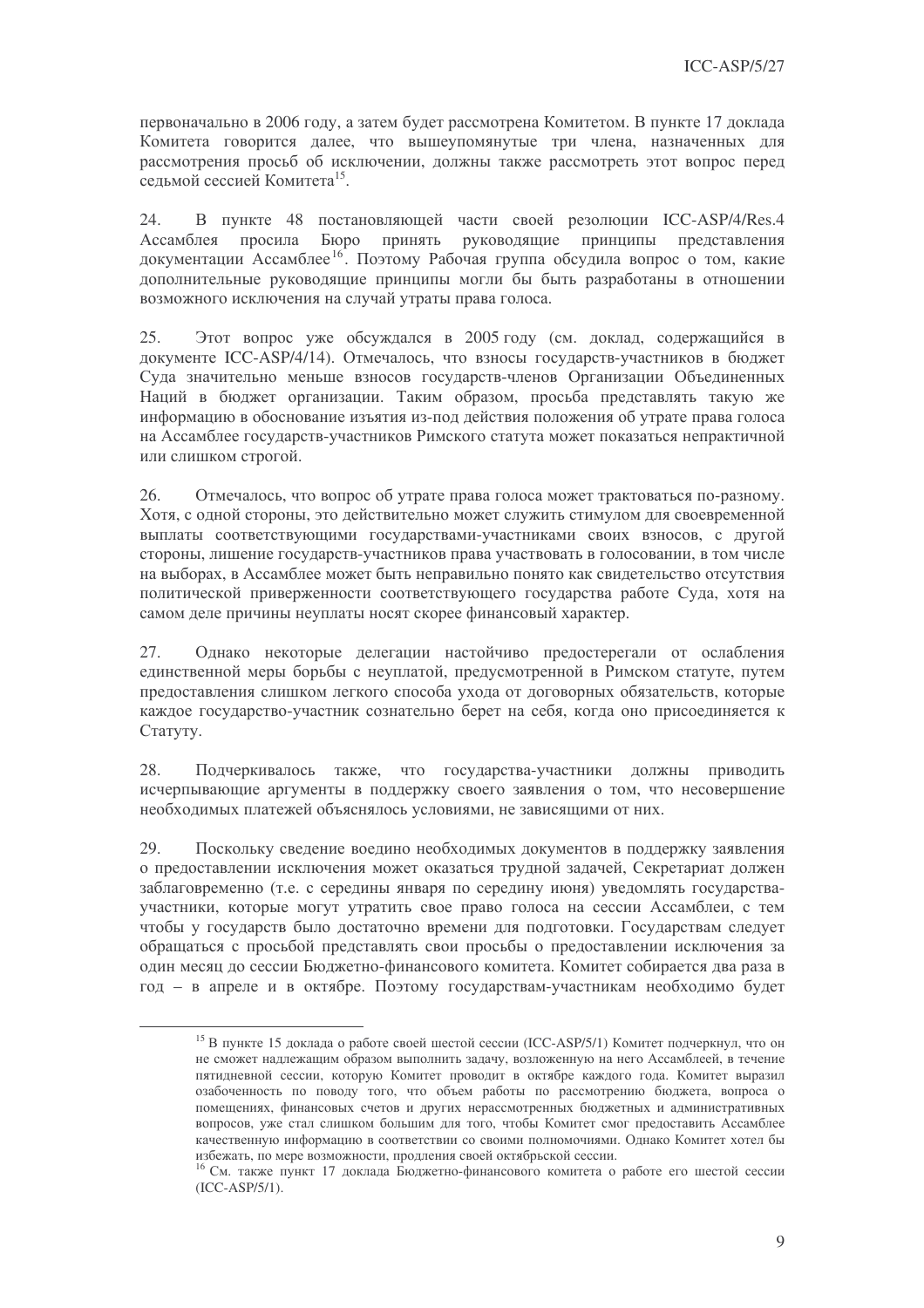первоначально в 2006 году, а затем будет рассмотрена Комитетом. В пункте 17 доклада Комитета говорится далее, что вышеупомянутые три члена, назначенных для рассмотрения просьб об исключении, должны также рассмотреть этот вопрос перед сельмой сессией Комитета<sup>15</sup>.

24. В пункте 48 постановляющей части своей резолюции ICC-ASP/4/Res.4 Ассамблея просила Бюро принять руководящие принципы представления документации Ассамблее<sup>16</sup>. Поэтому Рабочая группа обсудила вопрос о том, какие дополнительные руководящие принципы могли бы быть разработаны в отношении возможного исключения на случай утраты права голоса.

25. Этот вопрос уже обсуждался в 2005 году (см. доклад, содержащийся в документе ICC-ASP/4/14). Отмечалось, что взносы государств-участников в бюджет Суда значительно меньше взносов государств-членов Организации Объединенных Наций в бюджет организации. Таким образом, просьба представлять такую же информацию в обоснование изъятия из-под действия положения об утрате права голоса на Ассамблее государств-участников Римского статута может показаться непрактичной или слишком строгой.

26. Отмечалось, что вопрос об утрате права голоса может трактоваться по-разному. Хотя, с одной стороны, это действительно может служить стимулом для своевременной выплаты соответствующими государствами-участниками своих взносов, с другой стороны, лишение государств-участников права участвовать в голосовании, в том числе на выборах, в Ассамблее может быть неправильно понято как свилетельство отсутствия политической приверженности соответствующего государства работе Суда, хотя на самом деле причины неуплаты носят скорее финансовый характер.

27. Однако некоторые делегации настойчиво предостерегали от ослабления единственной меры борьбы с неуплатой, предусмотренной в Римском статуте, путем предоставления слишком легкого способа ухода от договорных обязательств, которые каждое государство-участник сознательно берет на себя, когда оно присоединяется к Статуту.

Подчеркивалось также, что государства-участники должны приводить 28. исчерпывающие аргументы в поддержку своего заявления о том, что несовершение необходимых платежей объяснялось условиями, не зависящими от них.

29. Поскольку сведение воедино необходимых документов в поддержку заявления о предоставлении исключения может оказаться трудной задачей, Секретариат должен заблаговременно (т.е. с середины января по середину июня) уведомлять государстваучастники, которые могут утратить свое право голоса на сессии Ассамблеи, с тем чтобы у государств было достаточно времени для подготовки. Государствам следует обрашаться с просьбой представлять свои просьбы о предоставлении исключения за один месяц до сессии Бюджетно-финансового комитета. Комитет собирается два раза в год - в апреле и в октябре. Поэтому государствам-участникам необходимо будет

<sup>&</sup>lt;sup>15</sup> В пункте 15 доклада о работе своей шестой сессии (ICC-ASP/5/1) Комитет подчеркнул, что он не сможет надлежащим образом выполнить задачу, возложенную на него Ассамблеей, в течение пятидневной сессии, которую Комитет проводит в октябре каждого года. Комитет выразил озабоченность по поводу того, что объем работы по рассмотрению бюджета, вопроса о помещениях, финансовых счетов и других нерассмотренных бюджетных и административных вопросов, уже стал слишком большим для того, чтобы Комитет смог предоставить Ассамблее качественную информацию в соответствии со своими полномочиями. Однако Комитет хотел бы избежать, по мере возможности, продления своей октябрьской сессии.

<sup>&</sup>lt;sup>16</sup> См. также пункт 17 доклада Бюджетно-финансового комитета о работе его шестой сессии  $(ICC-ASP/5/1).$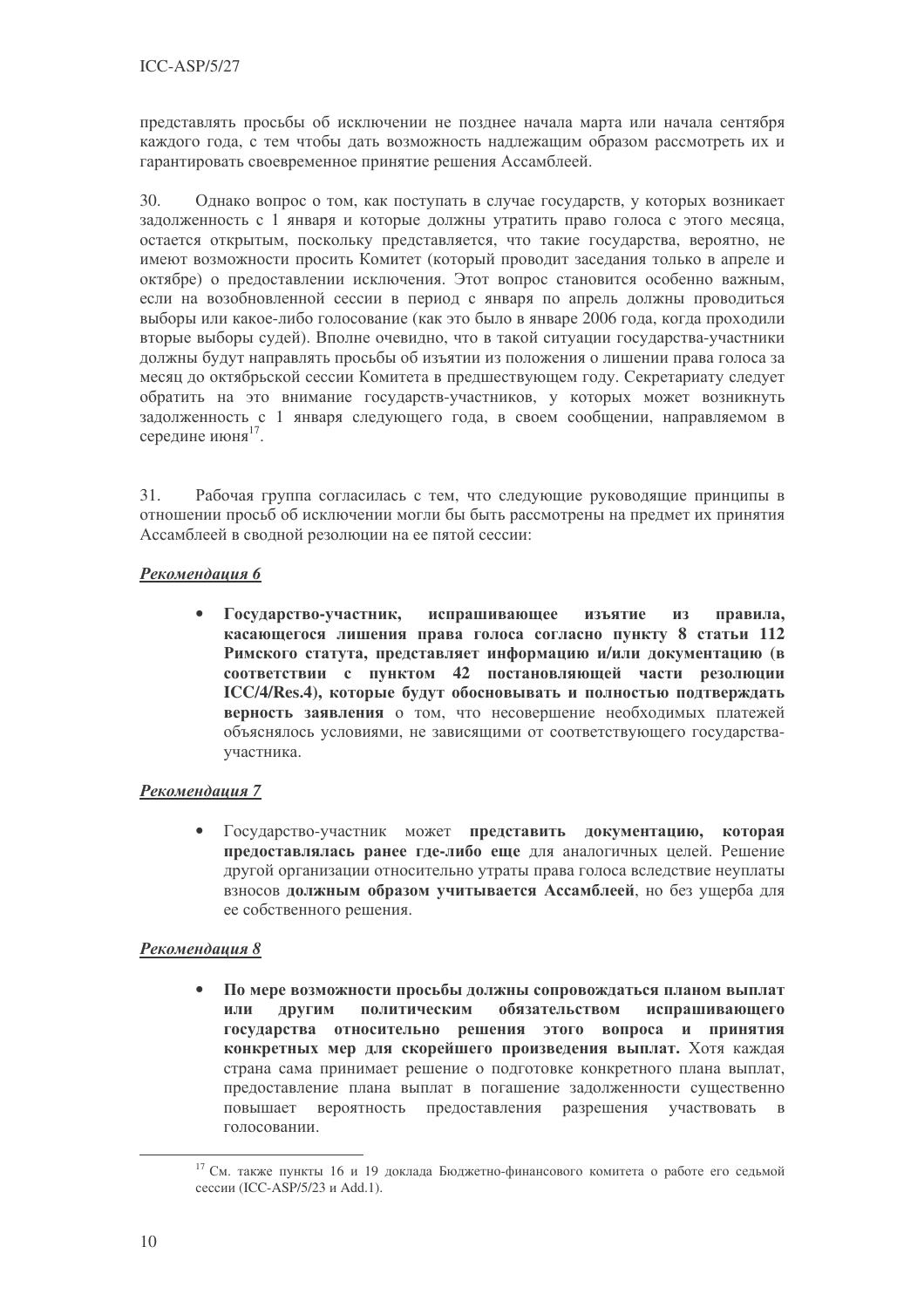представлять просьбы об исключении не позднее начала марта или начала сентября каждого года, с тем чтобы дать возможность надлежащим образом рассмотреть их и гарантировать своевременное принятие решения Ассамблеей.

 $30<sup>°</sup>$ Однако вопрос о том, как поступать в случае государств, у которых возникает задолженность с 1 января и которые должны утратить право голоса с этого месяца, остается открытым, поскольку представляется, что такие государства, вероятно, не имеют возможности просить Комитет (который проводит заседания только в апреле и октябре) о предоставлении исключения. Этот вопрос становится особенно важным, если на возобновленной сессии в период с января по апрель должны проводиться выборы или какое-либо голосование (как это было в январе 2006 года, когда проходили вторые выборы судей). Вполне очевидно, что в такой ситуации государства-участники должны будут направлять просьбы об изъятии из положения о лишении права голоса за месяц до октябрьской сессии Комитета в предшествующем году. Секретариату следует обратить на это внимание государств-участников, у которых может возникнуть задолженность с 1 января следующего года, в своем сообщении, направляемом в середине июня<sup>17</sup>.

 $31$ Рабочая группа согласилась с тем, что следующие руководящие принципы в отношении просьб об исключении могли бы быть рассмотрены на предмет их принятия Ассамблеей в сводной резолюции на ее пятой сессии:

#### Рекомендашия 6

 $\bullet$ Государство-участник, испрашивающее изъятие **ИЗ** правила, касающегося лишения права голоса согласно пункту 8 статьи 112 Римского статута, представляет информацию и/или документацию (в соответствии с пунктом 42 постановляющей части резолюции ICC/4/Res.4), которые будут обосновывать и полностью подтверждать верность заявления о том, что несовершение необходимых платежей объяснялось условиями, не зависящими от соответствующего государстваучастника.

### Рекомендация 7

Государство-участник может представить документацию, которая предоставлялась ранее где-либо еще для аналогичных целей. Решение другой организации относительно утраты права голоса вследствие неуплаты взносов должным образом учитывается Ассамблеей, но без ущерба для ее собственного решения.

### Рекомендация 8

По мере возможности просьбы должны сопровождаться планом выплат  $\bullet$ ДРУГИМ политическим обязательством испрашивающего ипи государства относительно решения этого вопроса и принятия конкретных мер для скорейшего произведения выплат. Хотя каждая страна сама принимает решение о подготовке конкретного плана выплат, предоставление плана выплат в погашение задолженности существенно повышает вероятность предоставления разрешения участвовать в голосовании.

<sup>17</sup> См. также пункты 16 и 19 доклада Бюджетно-финансового комитета о работе его седьмой сессии (ICC-ASP/5/23 и Add.1).